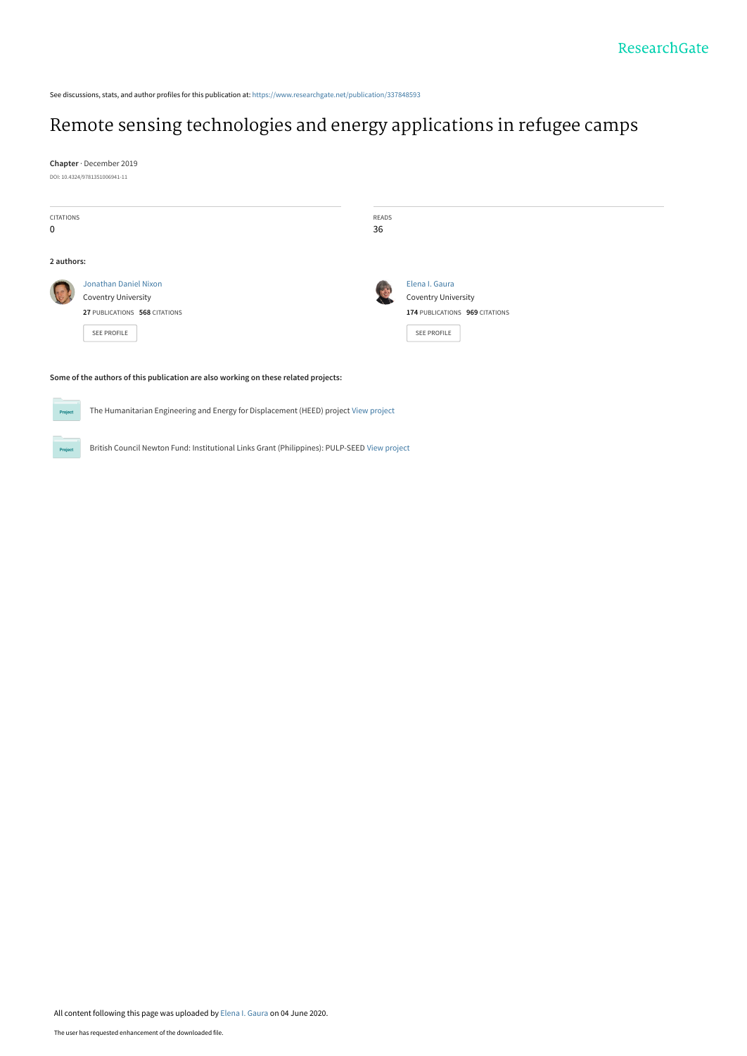See discussions, stats, and author profiles for this publication at: [https://www.researchgate.net/publication/337848593](https://www.researchgate.net/publication/337848593_Remote_sensing_technologies_and_energy_applications_in_refugee_camps?enrichId=rgreq-974607450b1ee9aa6bd6a02d7908661d-XXX&enrichSource=Y292ZXJQYWdlOzMzNzg0ODU5MztBUzo4OTg3MjAyNDE1NTc1MDVAMTU5MTI4MzAxMTIxNw%3D%3D&el=1_x_2&_esc=publicationCoverPdf)

# [Remote sensing technologies and energy applications in refugee camps](https://www.researchgate.net/publication/337848593_Remote_sensing_technologies_and_energy_applications_in_refugee_camps?enrichId=rgreq-974607450b1ee9aa6bd6a02d7908661d-XXX&enrichSource=Y292ZXJQYWdlOzMzNzg0ODU5MztBUzo4OTg3MjAyNDE1NTc1MDVAMTU5MTI4MzAxMTIxNw%3D%3D&el=1_x_3&_esc=publicationCoverPdf)

**Chapter** · December 2019 DOI: 10.4324/9781351006941-11

**Project** 

 $Prc$ 

| <b>CITATIONS</b><br>$\mathbf 0$ |                                                                                     | READS<br>36 |                                |
|---------------------------------|-------------------------------------------------------------------------------------|-------------|--------------------------------|
|                                 |                                                                                     |             |                                |
| 2 authors:                      |                                                                                     |             |                                |
|                                 | <b>Jonathan Daniel Nixon</b>                                                        |             | Elena I. Gaura                 |
|                                 | <b>Coventry University</b>                                                          |             | <b>Coventry University</b>     |
|                                 | 27 PUBLICATIONS 568 CITATIONS                                                       |             | 174 PUBLICATIONS 969 CITATIONS |
|                                 | SEE PROFILE                                                                         |             | SEE PROFILE                    |
|                                 | Some of the authors of this publication are also working on these related projects: |             |                                |

The Humanitarian Engineering and Energy for Displacement (HEED) project [View project](https://www.researchgate.net/project/The-Humanitarian-Engineering-and-Energy-for-Displacement-HEED-project?enrichId=rgreq-974607450b1ee9aa6bd6a02d7908661d-XXX&enrichSource=Y292ZXJQYWdlOzMzNzg0ODU5MztBUzo4OTg3MjAyNDE1NTc1MDVAMTU5MTI4MzAxMTIxNw%3D%3D&el=1_x_9&_esc=publicationCoverPdf)

British Council Newton Fund: Institutional Links Grant (Philippines): PULP-SEED [View project](https://www.researchgate.net/project/British-Council-Newton-Fund-Institutional-Links-Grant-Philippines-PULP-SEED?enrichId=rgreq-974607450b1ee9aa6bd6a02d7908661d-XXX&enrichSource=Y292ZXJQYWdlOzMzNzg0ODU5MztBUzo4OTg3MjAyNDE1NTc1MDVAMTU5MTI4MzAxMTIxNw%3D%3D&el=1_x_9&_esc=publicationCoverPdf)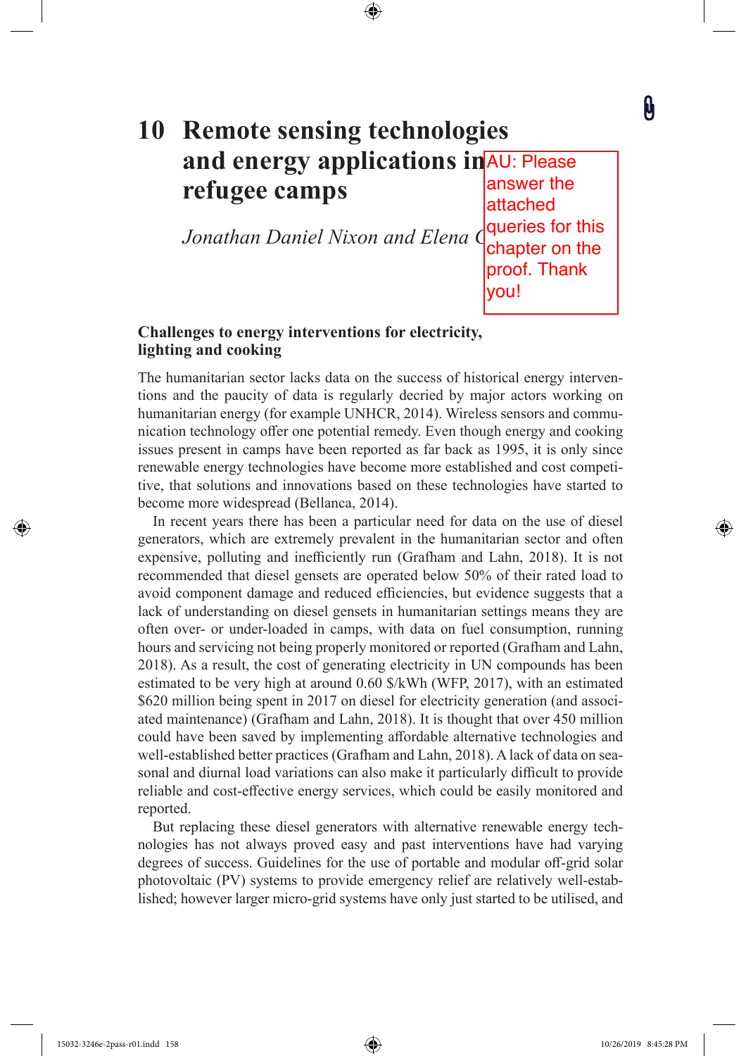# **10 Remote sensing technologies**  and energy applications in AU: Please **refugee camps**

⊕

*Jonathan Daniel Nixon and Elena* G

answer the attached queries for this chapter on the proof. Thank you!

0

⊕

# **Challenges to energy interventions for electricity, lighting and cooking**

The humanitarian sector lacks data on the success of historical energy interventions and the paucity of data is regularly decried by major actors working on humanitarian energy (for example UNHCR, 2014). Wireless sensors and communication technology offer one potential remedy. Even though energy and cooking issues present in camps have been reported as far back as 1995, it is only since renewable energy technologies have become more established and cost competitive, that solutions and innovations based on these technologies have started to become more widespread (Bellanca, 2014).

In recent years there has been a particular need for data on the use of diesel generators, which are extremely prevalent in the humanitarian sector and often expensive, polluting and inefficiently run (Grafham and Lahn, 2018). It is not recommended that diesel gensets are operated below 50% of their rated load to avoid component damage and reduced efficiencies, but evidence suggests that a lack of understanding on diesel gensets in humanitarian settings means they are often over- or under-loaded in camps, with data on fuel consumption, running hours and servicing not being properly monitored or reported (Grafham and Lahn, 2018). As a result, the cost of generating electricity in UN compounds has been estimated to be very high at around 0.60 \$/kWh (WFP, 2017), with an estimated \$620 million being spent in 2017 on diesel for electricity generation (and associated maintenance) (Grafham and Lahn, 2018). It is thought that over 450 million could have been saved by implementing afordable alternative technologies and well-established better practices (Grafham and Lahn, 2018). A lack of data on seasonal and diurnal load variations can also make it particularly difficult to provide reliable and cost-efective energy services, which could be easily monitored and reported.

But replacing these diesel generators with alternative renewable energy technologies has not always proved easy and past interventions have had varying degrees of success. Guidelines for the use of portable and modular off-grid solar photovoltaic (PV) systems to provide emergency relief are relatively well-established; however larger micro-grid systems have only just started to be utilised, and

 $\textcolor{blue}{\bigcirc}$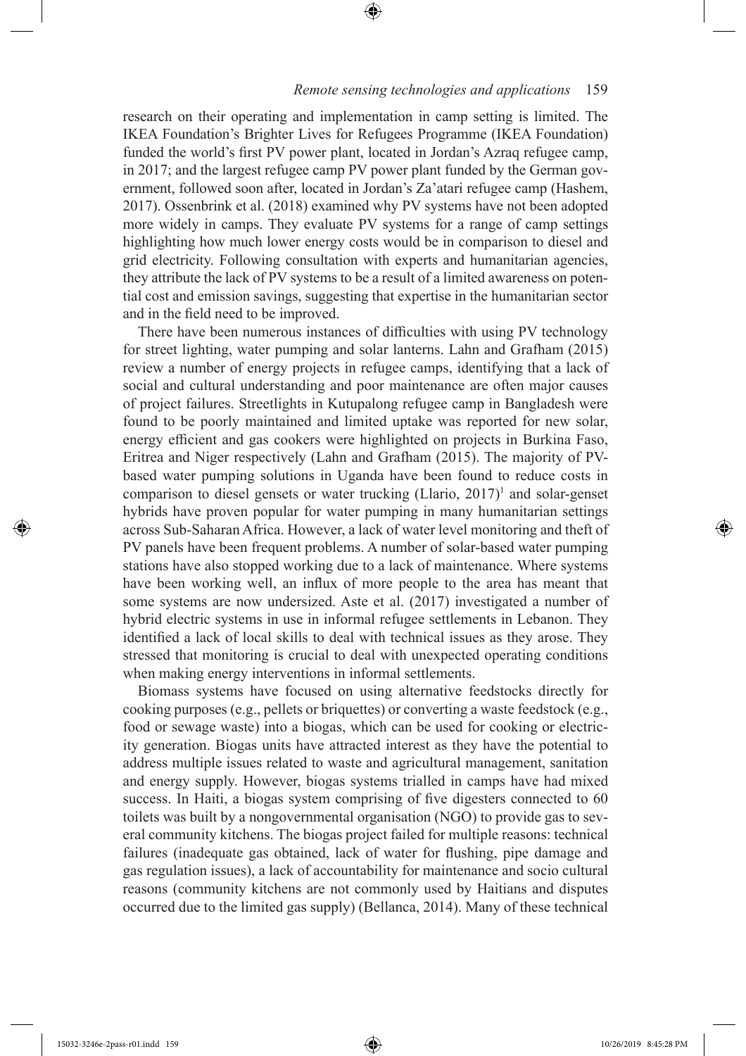research on their operating and implementation in camp setting is limited. The IKEA Foundation's Brighter Lives for Refugees Programme (IKEA Foundation) funded the world's frst PV power plant, located in Jordan's Azraq refugee camp, in 2017; and the largest refugee camp PV power plant funded by the German government, followed soon after, located in Jordan's Za'atari refugee camp (Hashem, 2017). Ossenbrink et al. (2018) examined why PV systems have not been adopted more widely in camps. They evaluate PV systems for a range of camp settings highlighting how much lower energy costs would be in comparison to diesel and grid electricity. Following consultation with experts and humanitarian agencies, they attribute the lack of PV systems to be a result of a limited awareness on potential cost and emission savings, suggesting that expertise in the humanitarian sector and in the feld need to be improved.

⊕

There have been numerous instances of difficulties with using PV technology for street lighting, water pumping and solar lanterns. Lahn and Grafham (2015) review a number of energy projects in refugee camps, identifying that a lack of social and cultural understanding and poor maintenance are often major causes of project failures. Streetlights in Kutupalong refugee camp in Bangladesh were found to be poorly maintained and limited uptake was reported for new solar, energy efficient and gas cookers were highlighted on projects in Burkina Faso, Eritrea and Niger respectively (Lahn and Grafham (2015). The majority of PVbased water pumping solutions in Uganda have been found to reduce costs in comparison to diesel gensets or water trucking  $(Llario, 2017)^1$  and solar-genset hybrids have proven popular for water pumping in many humanitarian settings across Sub-Saharan Africa. However, a lack of water level monitoring and theft of PV panels have been frequent problems. A number of solar-based water pumping stations have also stopped working due to a lack of maintenance. Where systems have been working well, an infux of more people to the area has meant that some systems are now undersized. Aste et al. (2017) investigated a number of hybrid electric systems in use in informal refugee settlements in Lebanon. They identifed a lack of local skills to deal with technical issues as they arose. They stressed that monitoring is crucial to deal with unexpected operating conditions when making energy interventions in informal settlements.

Biomass systems have focused on using alternative feedstocks directly for cooking purposes (e.g., pellets or briquettes) or converting a waste feedstock (e.g., food or sewage waste) into a biogas, which can be used for cooking or electricity generation. Biogas units have attracted interest as they have the potential to address multiple issues related to waste and agricultural management, sanitation and energy supply. However, biogas systems trialled in camps have had mixed success. In Haiti, a biogas system comprising of five digesters connected to 60 toilets was built by a nongovernmental organisation (NGO) to provide gas to several community kitchens. The biogas project failed for multiple reasons: technical failures (inadequate gas obtained, lack of water for fushing, pipe damage and gas regulation issues), a lack of accountability for maintenance and socio cultural reasons (community kitchens are not commonly used by Haitians and disputes occurred due to the limited gas supply) (Bellanca, 2014). Many of these technical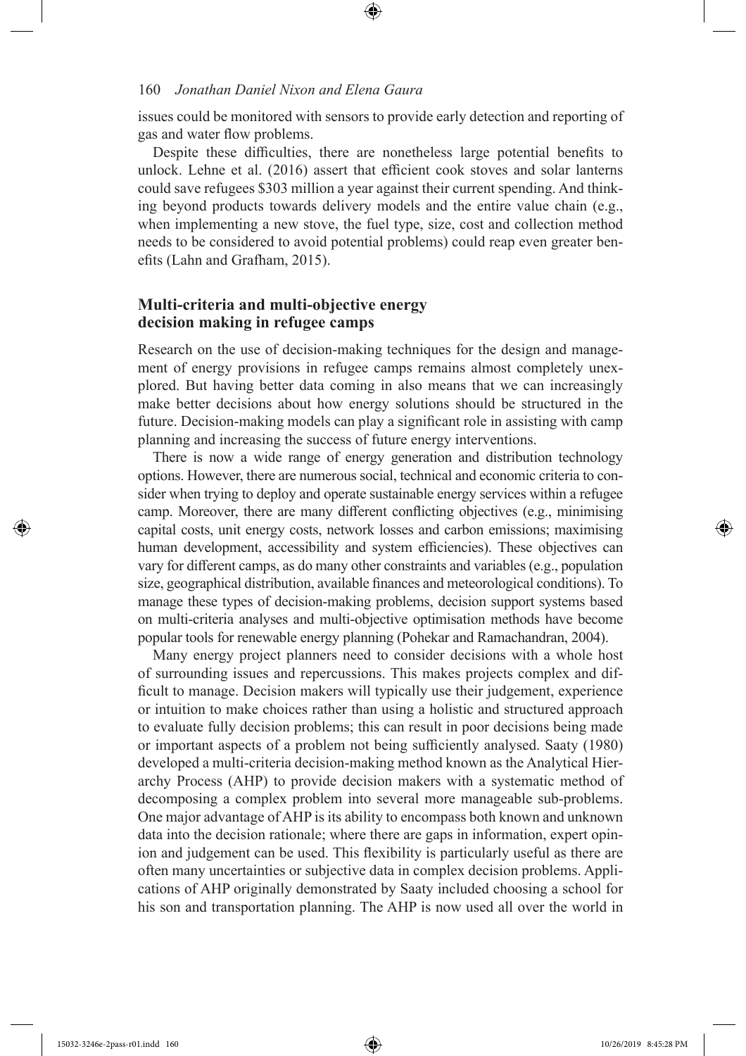issues could be monitored with sensors to provide early detection and reporting of gas and water fow problems.

Despite these difficulties, there are nonetheless large potential benefits to unlock. Lehne et al.  $(2016)$  assert that efficient cook stoves and solar lanterns could save refugees \$303 million a year against their current spending. And thinking beyond products towards delivery models and the entire value chain (e.g., when implementing a new stove, the fuel type, size, cost and collection method needs to be considered to avoid potential problems) could reap even greater benefts (Lahn and Grafham, 2015).

# **Multi-criteria and multi-objective energy decision making in refugee camps**

Research on the use of decision-making techniques for the design and management of energy provisions in refugee camps remains almost completely unexplored. But having better data coming in also means that we can increasingly make better decisions about how energy solutions should be structured in the future. Decision-making models can play a signifcant role in assisting with camp planning and increasing the success of future energy interventions.

There is now a wide range of energy generation and distribution technology options. However, there are numerous social, technical and economic criteria to consider when trying to deploy and operate sustainable energy services within a refugee camp. Moreover, there are many diferent conficting objectives (e.g., minimising capital costs, unit energy costs, network losses and carbon emissions; maximising human development, accessibility and system efficiencies). These objectives can vary for diferent camps, as do many other constraints and variables (e.g., population size, geographical distribution, available fnances and meteorological conditions). To manage these types of decision-making problems, decision support systems based on multi-criteria analyses and multi-objective optimisation methods have become popular tools for renewable energy planning (Pohekar and Ramachandran, 2004).

Many energy project planners need to consider decisions with a whole host of surrounding issues and repercussions. This makes projects complex and diffcult to manage. Decision makers will typically use their judgement, experience or intuition to make choices rather than using a holistic and structured approach to evaluate fully decision problems; this can result in poor decisions being made or important aspects of a problem not being sufficiently analysed. Saaty (1980) developed a multi-criteria decision-making method known as the Analytical Hierarchy Process (AHP) to provide decision makers with a systematic method of decomposing a complex problem into several more manageable sub-problems. One major advantage of AHP is its ability to encompass both known and unknown data into the decision rationale; where there are gaps in information, expert opinion and judgement can be used. This fexibility is particularly useful as there are often many uncertainties or subjective data in complex decision problems. Applications of AHP originally demonstrated by Saaty included choosing a school for his son and transportation planning. The AHP is now used all over the world in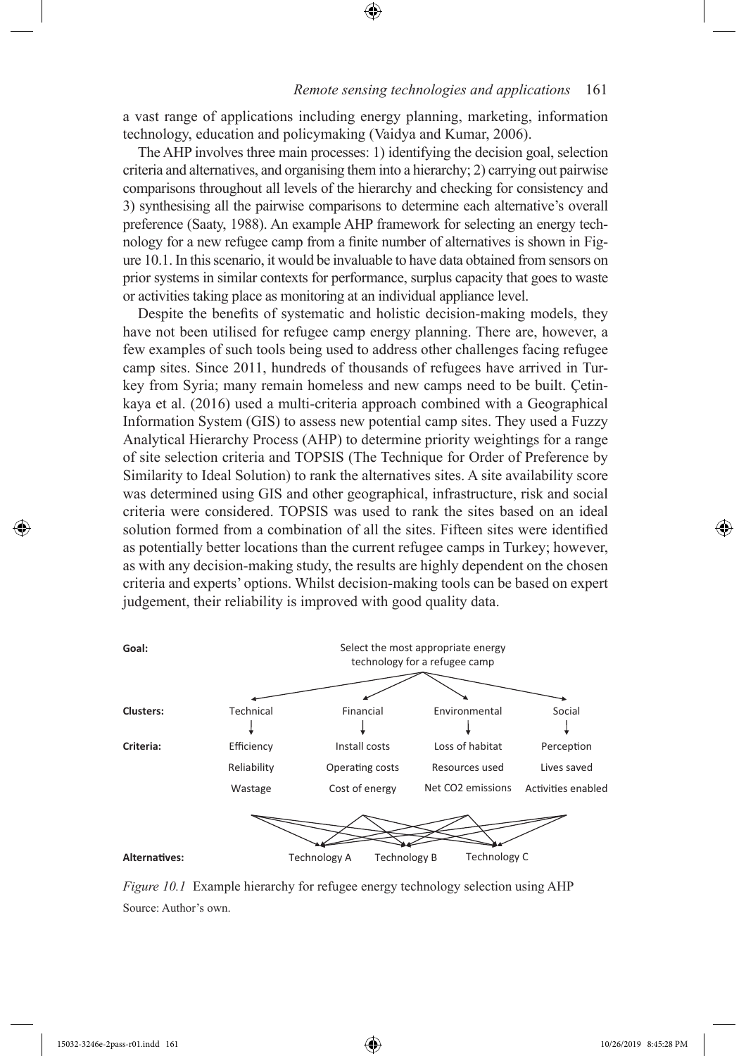a vast range of applications including energy planning, marketing, information technology, education and policymaking (Vaidya and Kumar, 2006).

⊕

The AHP involves three main processes: 1) identifying the decision goal, selection criteria and alternatives, and organising them into a hierarchy; 2) carrying out pairwise comparisons throughout all levels of the hierarchy and checking for consistency and 3) synthesising all the pairwise comparisons to determine each alternative's overall preference (Saaty, 1988). An example AHP framework for selecting an energy technology for a new refugee camp from a fnite number of alternatives is shown in Figure 10.1. In this scenario, it would be invaluable to have data obtained from sensors on prior systems in similar contexts for performance, surplus capacity that goes to waste or activities taking place as monitoring at an individual appliance level.

Despite the benefts of systematic and holistic decision-making models, they have not been utilised for refugee camp energy planning. There are, however, a few examples of such tools being used to address other challenges facing refugee camp sites. Since 2011, hundreds of thousands of refugees have arrived in Turkey from Syria; many remain homeless and new camps need to be built. Çetinkaya et al. (2016) used a multi-criteria approach combined with a Geographical Information System (GIS) to assess new potential camp sites. They used a Fuzzy Analytical Hierarchy Process (AHP) to determine priority weightings for a range of site selection criteria and TOPSIS (The Technique for Order of Preference by Similarity to Ideal Solution) to rank the alternatives sites. A site availability score was determined using GIS and other geographical, infrastructure, risk and social criteria were considered. TOPSIS was used to rank the sites based on an ideal solution formed from a combination of all the sites. Fifteen sites were identifed as potentially better locations than the current refugee camps in Turkey; however, as with any decision-making study, the results are highly dependent on the chosen criteria and experts' options. Whilst decision-making tools can be based on expert judgement, their reliability is improved with good quality data.



*Figure 10.1* Example hierarchy for refugee energy technology selection using AHP Source: Author's own.

 $\textcolor{blue}{\textcircled{\bullet}}$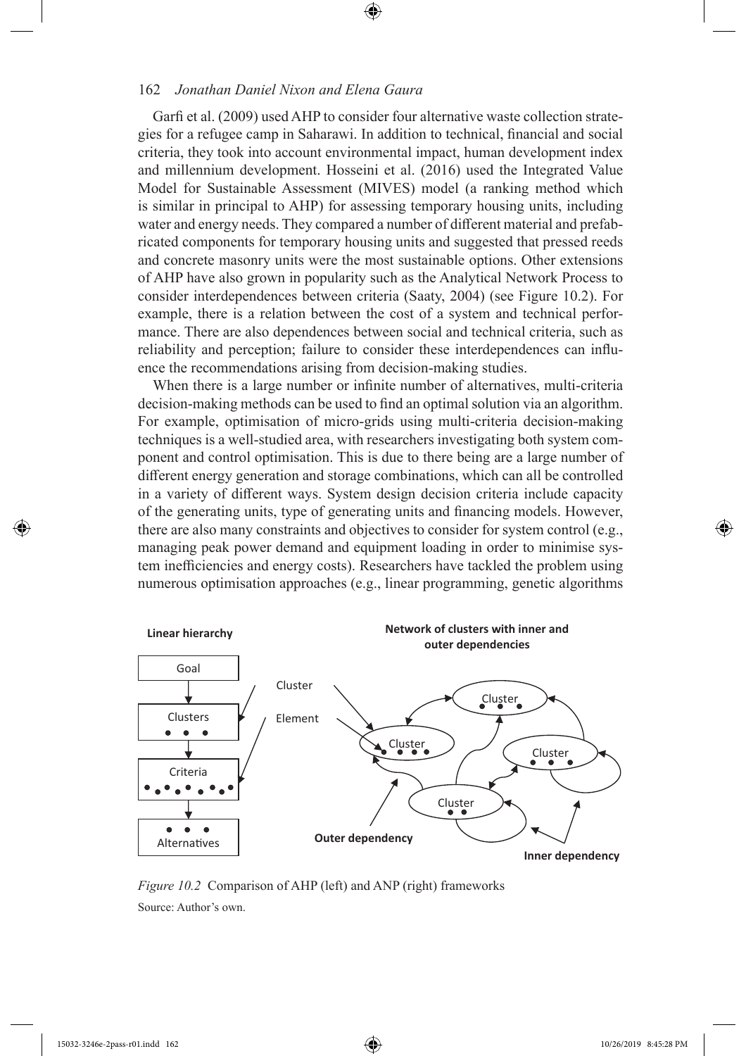Garfi et al. (2009) used AHP to consider four alternative waste collection strategies for a refugee camp in Saharawi. In addition to technical, fnancial and social criteria, they took into account environmental impact, human development index and millennium development. Hosseini et al. (2016) used the Integrated Value Model for Sustainable Assessment (MIVES) model (a ranking method which is similar in principal to AHP) for assessing temporary housing units, including water and energy needs. They compared a number of diferent material and prefabricated components for temporary housing units and suggested that pressed reeds and concrete masonry units were the most sustainable options. Other extensions of AHP have also grown in popularity such as the Analytical Network Process to consider interdependences between criteria (Saaty, 2004) (see Figure 10.2). For example, there is a relation between the cost of a system and technical performance. There are also dependences between social and technical criteria, such as reliability and perception; failure to consider these interdependences can infuence the recommendations arising from decision-making studies.

⊕

When there is a large number or infnite number of alternatives, multi-criteria decision-making methods can be used to fnd an optimal solution via an algorithm. For example, optimisation of micro-grids using multi-criteria decision-making techniques is a well-studied area, with researchers investigating both system component and control optimisation. This is due to there being are a large number of diferent energy generation and storage combinations, which can all be controlled in a variety of diferent ways. System design decision criteria include capacity of the generating units, type of generating units and fnancing models. However, there are also many constraints and objectives to consider for system control (e.g., managing peak power demand and equipment loading in order to minimise system inefficiencies and energy costs). Researchers have tackled the problem using numerous optimisation approaches (e.g., linear programming, genetic algorithms



*Figure 10.2* Comparison of AHP (left) and ANP (right) frameworks Source: Author's own.

 $\textcolor{blue}{\bigcirc}$ 

◈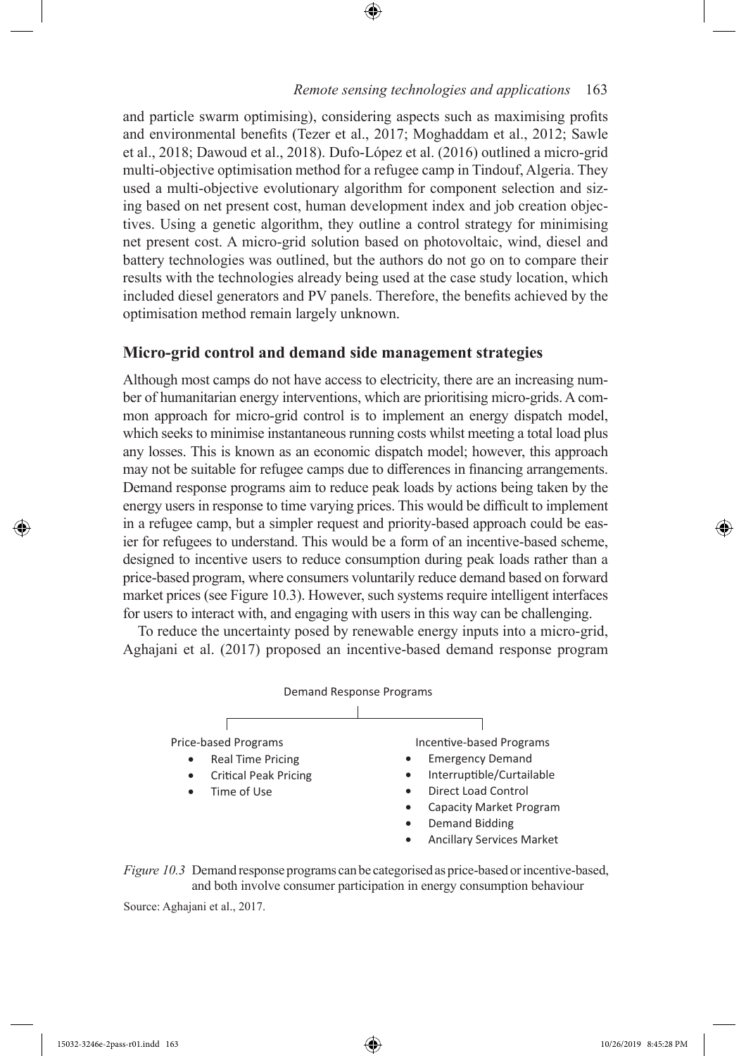and particle swarm optimising), considering aspects such as maximising profts and environmental benefts (Tezer et al., 2017; Moghaddam et al., 2012; Sawle et al., 2018; Dawoud et al., 2018). Dufo-López et al. (2016) outlined a micro-grid multi-objective optimisation method for a refugee camp in Tindouf, Algeria. They used a multi-objective evolutionary algorithm for component selection and sizing based on net present cost, human development index and job creation objectives. Using a genetic algorithm, they outline a control strategy for minimising net present cost. A micro-grid solution based on photovoltaic, wind, diesel and battery technologies was outlined, but the authors do not go on to compare their results with the technologies already being used at the case study location, which included diesel generators and PV panels. Therefore, the benefts achieved by the optimisation method remain largely unknown.

❀

# **Micro-grid control and demand side management strategies**

Although most camps do not have access to electricity, there are an increasing number of humanitarian energy interventions, which are prioritising micro-grids. A common approach for micro-grid control is to implement an energy dispatch model, which seeks to minimise instantaneous running costs whilst meeting a total load plus any losses. This is known as an economic dispatch model; however, this approach may not be suitable for refugee camps due to diferences in fnancing arrangements. Demand response programs aim to reduce peak loads by actions being taken by the energy users in response to time varying prices. This would be difficult to implement in a refugee camp, but a simpler request and priority-based approach could be easier for refugees to understand. This would be a form of an incentive-based scheme, designed to incentive users to reduce consumption during peak loads rather than a price-based program, where consumers voluntarily reduce demand based on forward market prices (see Figure 10.3). However, such systems require intelligent interfaces for users to interact with, and engaging with users in this way can be challenging.

To reduce the uncertainty posed by renewable energy inputs into a micro-grid, Aghajani et al. (2017) proposed an incentive-based demand response program





Source: Aghajani et al., 2017.

 $\textcolor{blue}{\textcircled{\bullet}}$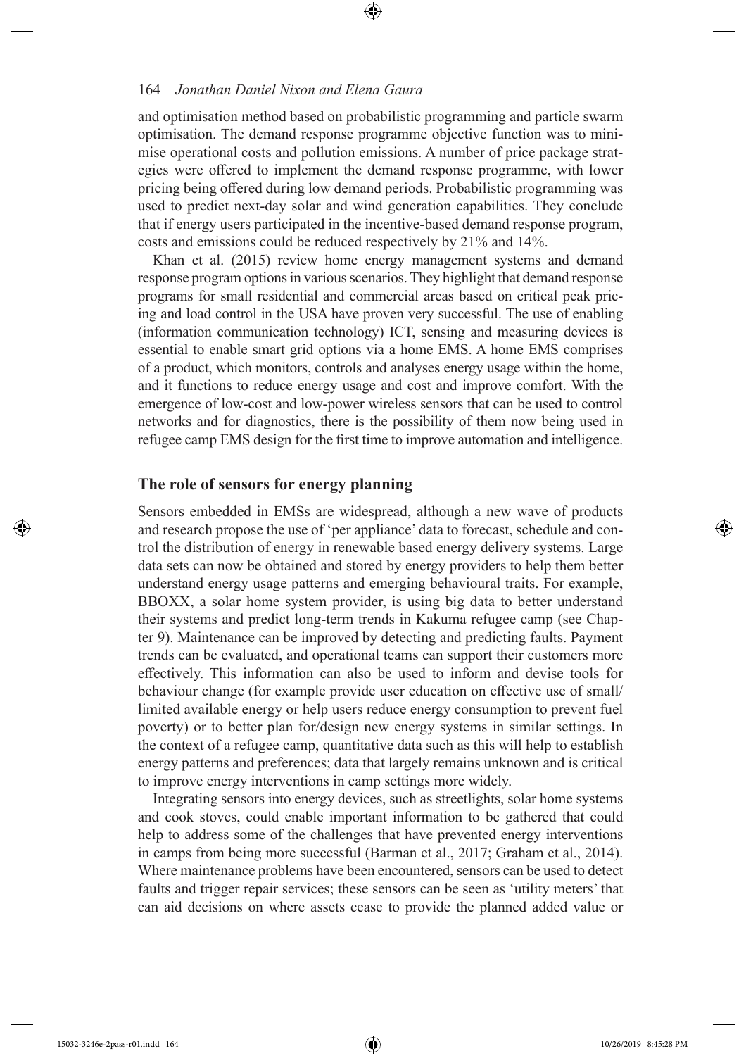and optimisation method based on probabilistic programming and particle swarm optimisation. The demand response programme objective function was to minimise operational costs and pollution emissions. A number of price package strategies were ofered to implement the demand response programme, with lower pricing being ofered during low demand periods. Probabilistic programming was used to predict next-day solar and wind generation capabilities. They conclude that if energy users participated in the incentive-based demand response program, costs and emissions could be reduced respectively by 21% and 14%.

⊕

Khan et al. (2015) review home energy management systems and demand response program options in various scenarios. They highlight that demand response programs for small residential and commercial areas based on critical peak pricing and load control in the USA have proven very successful. The use of enabling (information communication technology) ICT, sensing and measuring devices is essential to enable smart grid options via a home EMS. A home EMS comprises of a product, which monitors, controls and analyses energy usage within the home, and it functions to reduce energy usage and cost and improve comfort. With the emergence of low-cost and low-power wireless sensors that can be used to control networks and for diagnostics, there is the possibility of them now being used in refugee camp EMS design for the frst time to improve automation and intelligence.

#### **The role of sensors for energy planning**

Sensors embedded in EMSs are widespread, although a new wave of products and research propose the use of 'per appliance' data to forecast, schedule and control the distribution of energy in renewable based energy delivery systems. Large data sets can now be obtained and stored by energy providers to help them better understand energy usage patterns and emerging behavioural traits. For example, BBOXX, a solar home system provider, is using big data to better understand their systems and predict long-term trends in Kakuma refugee camp (see Chapter 9). Maintenance can be improved by detecting and predicting faults. Payment trends can be evaluated, and operational teams can support their customers more efectively. This information can also be used to inform and devise tools for behaviour change (for example provide user education on effective use of small/ limited available energy or help users reduce energy consumption to prevent fuel poverty) or to better plan for/design new energy systems in similar settings. In the context of a refugee camp, quantitative data such as this will help to establish energy patterns and preferences; data that largely remains unknown and is critical to improve energy interventions in camp settings more widely.

Integrating sensors into energy devices, such as streetlights, solar home systems and cook stoves, could enable important information to be gathered that could help to address some of the challenges that have prevented energy interventions in camps from being more successful (Barman et al., 2017; Graham et al., 2014). Where maintenance problems have been encountered, sensors can be used to detect faults and trigger repair services; these sensors can be seen as 'utility meters' that can aid decisions on where assets cease to provide the planned added value or ♠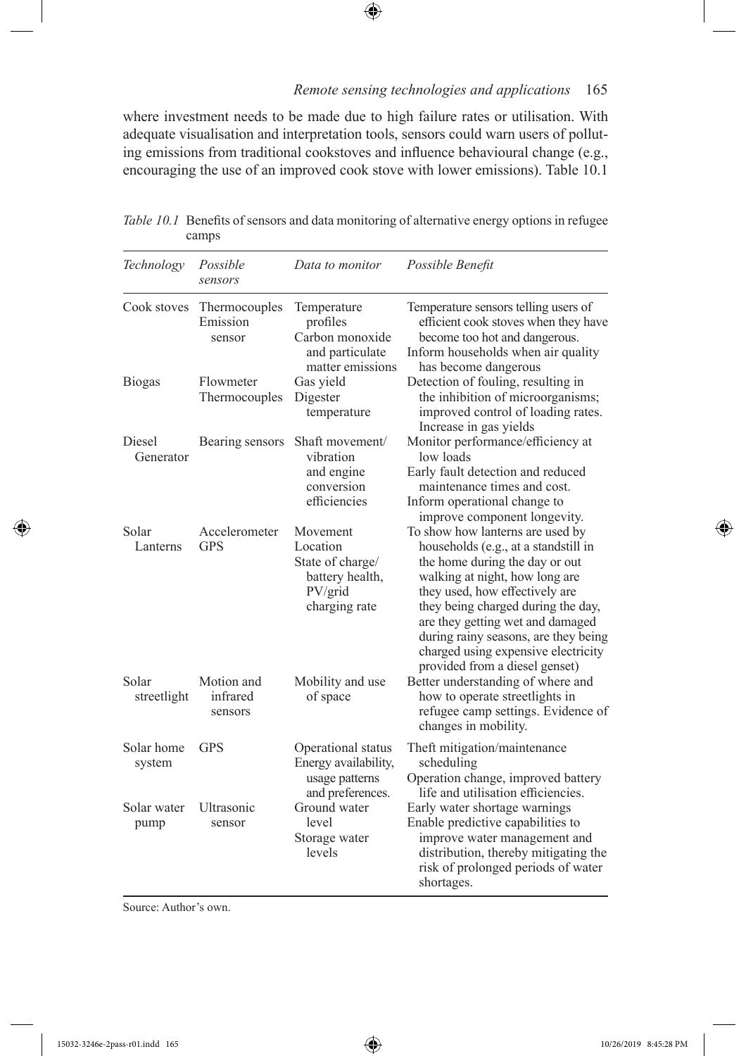where investment needs to be made due to high failure rates or utilisation. With adequate visualisation and interpretation tools, sensors could warn users of polluting emissions from traditional cookstoves and infuence behavioural change (e.g., encouraging the use of an improved cook stove with lower emissions). Table 10.1

 $\bigoplus$ 

| Technology           | Possible<br>sensors                 | Data to monitor                                                                         | Possible Benefit                                                                                                                                                                                                                                                                                                                                                          |
|----------------------|-------------------------------------|-----------------------------------------------------------------------------------------|---------------------------------------------------------------------------------------------------------------------------------------------------------------------------------------------------------------------------------------------------------------------------------------------------------------------------------------------------------------------------|
| Cook stoves          | Thermocouples<br>Emission<br>sensor | Temperature<br>profiles<br>Carbon monoxide<br>and particulate<br>matter emissions       | Temperature sensors telling users of<br>efficient cook stoves when they have<br>become too hot and dangerous.<br>Inform households when air quality<br>has become dangerous                                                                                                                                                                                               |
| <b>Biogas</b>        | Flowmeter<br>Thermocouples          | Gas yield<br>Digester<br>temperature                                                    | Detection of fouling, resulting in<br>the inhibition of microorganisms;<br>improved control of loading rates.<br>Increase in gas yields                                                                                                                                                                                                                                   |
| Diesel<br>Generator  | Bearing sensors                     | Shaft movement/<br>vibration<br>and engine<br>conversion<br>efficiencies                | Monitor performance/efficiency at<br>low loads<br>Early fault detection and reduced<br>maintenance times and cost.<br>Inform operational change to<br>improve component longevity.                                                                                                                                                                                        |
| Solar<br>Lanterns    | Accelerometer<br><b>GPS</b>         | Movement<br>Location<br>State of charge/<br>battery health,<br>PV/grid<br>charging rate | To show how lanterns are used by<br>households (e.g., at a standstill in<br>the home during the day or out<br>walking at night, how long are<br>they used, how effectively are<br>they being charged during the day,<br>are they getting wet and damaged<br>during rainy seasons, are they being<br>charged using expensive electricity<br>provided from a diesel genset) |
| Solar<br>streetlight | Motion and<br>infrared<br>sensors   | Mobility and use<br>of space                                                            | Better understanding of where and<br>how to operate streetlights in<br>refugee camp settings. Evidence of<br>changes in mobility.                                                                                                                                                                                                                                         |
| Solar home<br>system | <b>GPS</b>                          | Operational status<br>Energy availability,<br>usage patterns<br>and preferences.        | Theft mitigation/maintenance<br>scheduling<br>Operation change, improved battery<br>life and utilisation efficiencies.                                                                                                                                                                                                                                                    |
| Solar water<br>pump  | Ultrasonic<br>sensor                | Ground water<br>level<br>Storage water<br>levels                                        | Early water shortage warnings<br>Enable predictive capabilities to<br>improve water management and<br>distribution, thereby mitigating the<br>risk of prolonged periods of water<br>shortages.                                                                                                                                                                            |

*Table 10.1* Benefts of sensors and data monitoring of alternative energy options in refugee camps

Source: Author's own.

15032-3246e-2pass-r01.indd 165 10/26/2019 8:45:28 PM

◈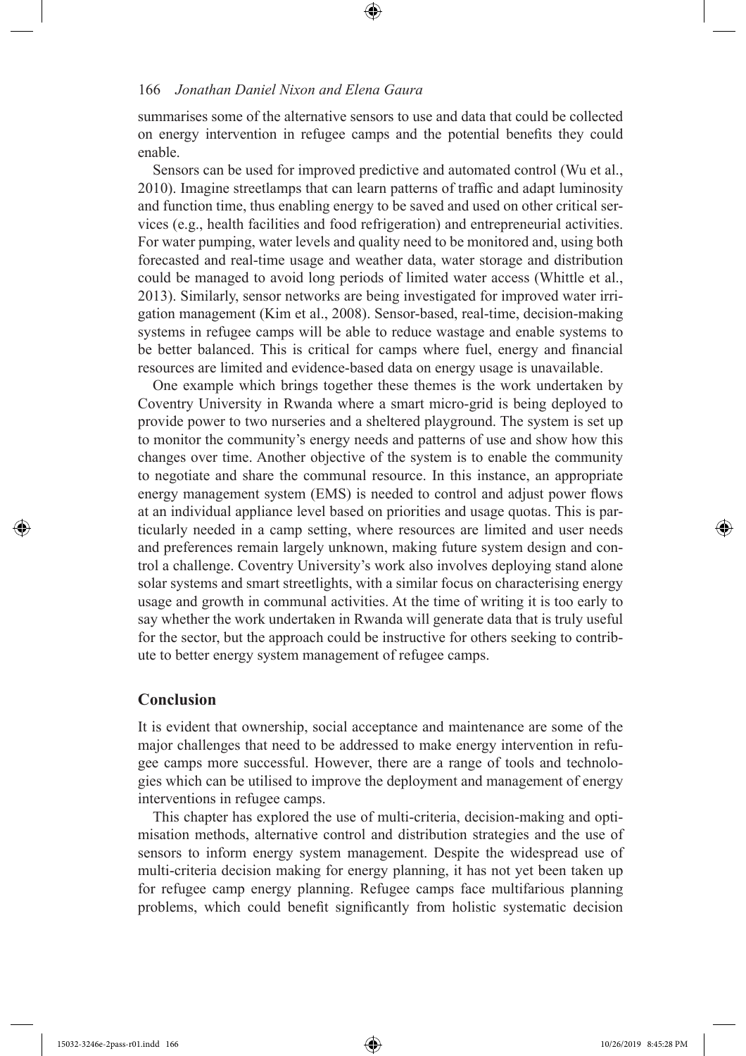summarises some of the alternative sensors to use and data that could be collected on energy intervention in refugee camps and the potential benefts they could enable.

Sensors can be used for improved predictive and automated control (Wu et al., 2010). Imagine streetlamps that can learn patterns of traffic and adapt luminosity and function time, thus enabling energy to be saved and used on other critical services (e.g., health facilities and food refrigeration) and entrepreneurial activities. For water pumping, water levels and quality need to be monitored and, using both forecasted and real-time usage and weather data, water storage and distribution could be managed to avoid long periods of limited water access (Whittle et al., 2013). Similarly, sensor networks are being investigated for improved water irrigation management (Kim et al., 2008). Sensor-based, real-time, decision-making systems in refugee camps will be able to reduce wastage and enable systems to be better balanced. This is critical for camps where fuel, energy and fnancial resources are limited and evidence-based data on energy usage is unavailable.

One example which brings together these themes is the work undertaken by Coventry University in Rwanda where a smart micro-grid is being deployed to provide power to two nurseries and a sheltered playground. The system is set up to monitor the community's energy needs and patterns of use and show how this changes over time. Another objective of the system is to enable the community to negotiate and share the communal resource. In this instance, an appropriate energy management system (EMS) is needed to control and adjust power fows at an individual appliance level based on priorities and usage quotas. This is particularly needed in a camp setting, where resources are limited and user needs and preferences remain largely unknown, making future system design and control a challenge. Coventry University's work also involves deploying stand alone solar systems and smart streetlights, with a similar focus on characterising energy usage and growth in communal activities. At the time of writing it is too early to say whether the work undertaken in Rwanda will generate data that is truly useful for the sector, but the approach could be instructive for others seeking to contribute to better energy system management of refugee camps.

#### **Conclusion**

It is evident that ownership, social acceptance and maintenance are some of the major challenges that need to be addressed to make energy intervention in refugee camps more successful. However, there are a range of tools and technologies which can be utilised to improve the deployment and management of energy interventions in refugee camps.

This chapter has explored the use of multi-criteria, decision-making and optimisation methods, alternative control and distribution strategies and the use of sensors to inform energy system management. Despite the widespread use of multi-criteria decision making for energy planning, it has not yet been taken up for refugee camp energy planning. Refugee camps face multifarious planning problems, which could beneft signifcantly from holistic systematic decision

 $\textcolor{blue}{\textcircled{\bullet}}$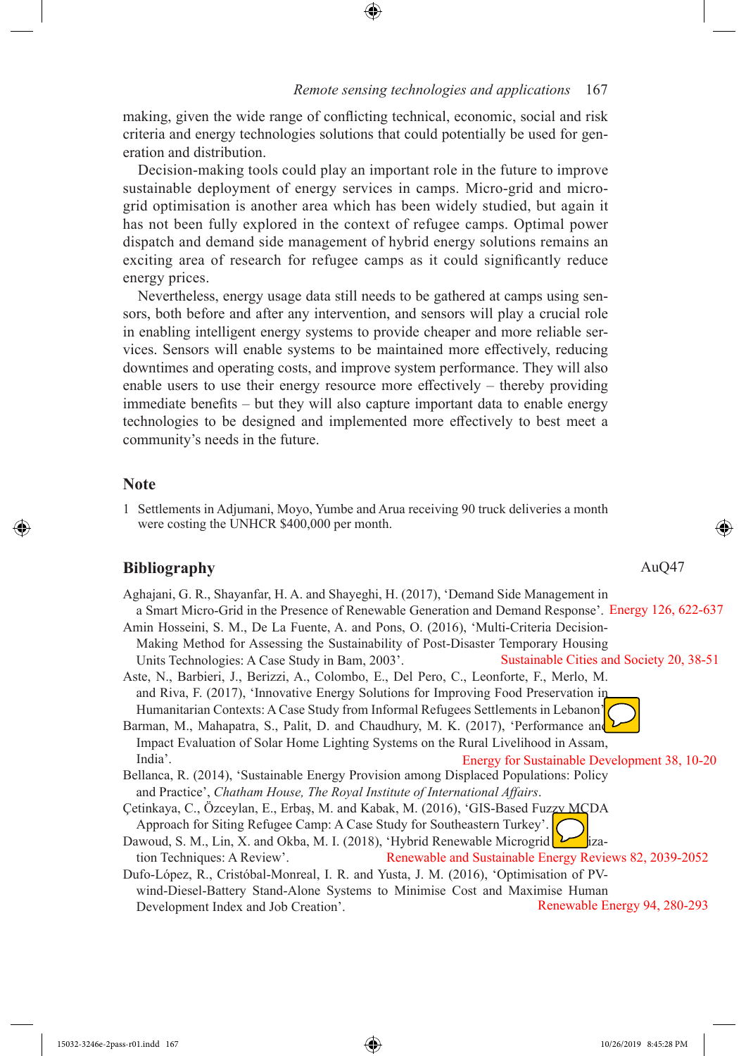making, given the wide range of conficting technical, economic, social and risk criteria and energy technologies solutions that could potentially be used for generation and distribution.

Decision-making tools could play an important role in the future to improve sustainable deployment of energy services in camps. Micro-grid and microgrid optimisation is another area which has been widely studied, but again it has not been fully explored in the context of refugee camps. Optimal power dispatch and demand side management of hybrid energy solutions remains an exciting area of research for refugee camps as it could signifcantly reduce energy prices.

Nevertheless, energy usage data still needs to be gathered at camps using sensors, both before and after any intervention, and sensors will play a crucial role in enabling intelligent energy systems to provide cheaper and more reliable services. Sensors will enable systems to be maintained more efectively, reducing downtimes and operating costs, and improve system performance. They will also enable users to use their energy resource more efectively – thereby providing immediate benefts – but they will also capture important data to enable energy technologies to be designed and implemented more efectively to best meet a community's needs in the future.

#### **Note**

1 Settlements in Adjumani, Moyo, Yumbe and Arua receiving 90 truck deliveries a month were costing the UNHCR \$400,000 per month.

## **Bibliography**

Aghajani, G. R., Shayanfar, H. A. and Shayeghi, H. (2017), 'Demand Side Management in a Smart Micro-Grid in the Presence of Renewable Generation and Demand Response'. Energy 126, 622-637 Amin Hosseini, S. M., De La Fuente, A. and Pons, O. (2016), 'Multi-Criteria Decision-Making Method for Assessing the Sustainability of Post-Disaster Temporary Housing Units Technologies: A Case Study in Bam, 2003'. Aste, N., Barbieri, J., Berizzi, A., Colombo, E., Del Pero, C., Leonforte, F., Merlo, M. and Riva, F. (2017), 'Innovative Energy Solutions for Improving Food Preservation in Sustainable Cities and Society 20, 38-51

Humanitarian Contexts: A Case Study from Informal Refugees Settlements in Lebanon'. Barman, M., Mahapatra, S., Palit, D. and Chaudhury, M. K. (2017), 'Performance and Impact Evaluation of Solar Home Lighting Systems on the Rural Livelihood in Assam,

India'. Bellanca, R. (2014), 'Sustainable Energy Provision among Displaced Populations: Policy and Practice', *Chatham House, The Royal Institute of International Afairs*. Energy for Sustainable Development 38, 10-20

Çetinkaya, C., Özceylan, E., Erbaş, M. and Kabak, M. (2016), 'GIS-Based Fuzzy MCDA Approach for Siting Refugee Camp: A Case Study for Southeastern Turkey'.

- Dawoud, S. M., Lin, X. and Okba, M. I. (2018), 'Hybrid Renewable Microgrid  $\sum$ ization Techniques: A Review'. Renewable and Sustainable Energy Reviews 82, 2039-2052
- Dufo-López, R., Cristóbal-Monreal, I. R. and Yusta, J. M. (2016), 'Optimisation of PVwind-Diesel-Battery Stand-Alone Systems to Minimise Cost and Maximise Human Development Index and Job Creation'. Renewable Energy 94, 280-293

AuQ47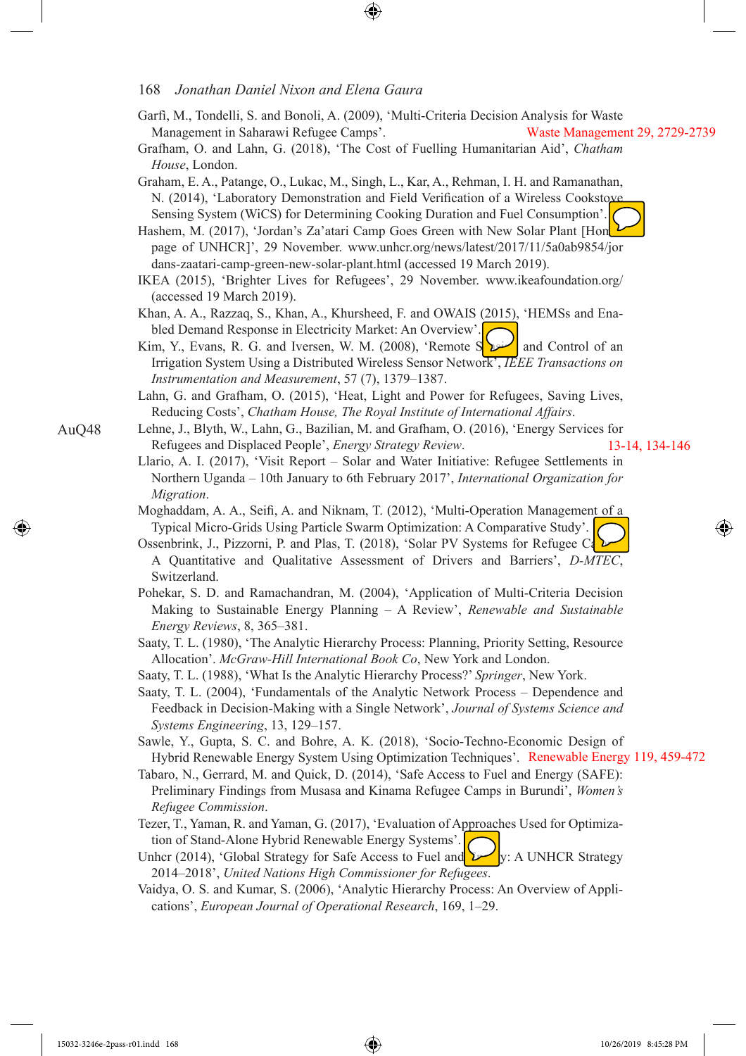- Garfì, M., Tondelli, S. and Bonoli, A. (2009), 'Multi-Criteria Decision Analysis for Waste Management in Saharawi Refugee Camps'. Waste Management 29, 2729-2739
- Grafham, O. and Lahn, G. (2018), 'The Cost of Fuelling Humanitarian Aid', *Chatham House*, London.
- Graham, E. A., Patange, O., Lukac, M., Singh, L., Kar, A., Rehman, I. H. and Ramanathan, N. (2014), 'Laboratory Demonstration and Field Verification of a Wireless Cookstove Sensing System (WiCS) for Determining Cooking Duration and Fuel Consumption'.

Hashem, M. (2017), 'Jordan's Za'atari Camp Goes Green with New Solar Plant [Homepage of UNHCR]', 29 November. www.unhcr.org/news/latest/2017/11/5a0ab9854/jor dans-zaatari-camp-green-new-solar-plant.html (accessed 19 March 2019).

IKEA (2015), 'Brighter Lives for Refugees', 29 November. www.ikeafoundation.org/ (accessed 19 March 2019).

Khan, A. A., Razzaq, S., Khan, A., Khursheed, F. and OWAIS (2015), 'HEMSs and Enabled Demand Response in Electricity Market: An Overview'.

Kim, Y., Evans, R. G. and Iversen, W. M. (2008), 'Remote S $\sum$  and Control of an Irrigation System Using a Distributed Wireless Sensor Network', *IEEE Transactions on Instrumentation and Measurement*, 57 (7), 1379–1387.

- Lahn, G. and Grafham, O. (2015), 'Heat, Light and Power for Refugees, Saving Lives, Reducing Costs', *Chatham House, The Royal Institute of International Afairs*.
- Lehne, J., Blyth, W., Lahn, G., Bazilian, M. and Grafham, O. (2016), 'Energy Services for Refugees and Displaced People', *Energy Strategy Review*. 13-14, 134-146
	- Llario, A. I. (2017), 'Visit Report Solar and Water Initiative: Refugee Settlements in Northern Uganda – 10th January to 6th February 2017', *International Organization for Migration*.
	- Moghaddam, A. A., Seif, A. and Niknam, T. (2012), 'Multi-Operation Management of a Typical Micro-Grids Using Particle Swarm Optimization: A Comparative Study'.
	- Ossenbrink, J., Pizzorni, P. and Plas, T. (2018), 'Solar PV Systems for Refugee Ca A Quantitative and Qualitative Assessment of Drivers and Barriers', *D-MTEC*, Switzerland.
	- Pohekar, S. D. and Ramachandran, M. (2004), 'Application of Multi-Criteria Decision Making to Sustainable Energy Planning – A Review', *Renewable and Sustainable Energy Reviews*, 8, 365–381.
	- Saaty, T. L. (1980), 'The Analytic Hierarchy Process: Planning, Priority Setting, Resource Allocation'. *McGraw-Hill International Book Co*, New York and London.
	- Saaty, T. L. (1988), 'What Is the Analytic Hierarchy Process?' *Springer*, New York.

Saaty, T. L. (2004), 'Fundamentals of the Analytic Network Process – Dependence and Feedback in Decision-Making with a Single Network', *Journal of Systems Science and Systems Engineering*, 13, 129–157.

- Sawle, Y., Gupta, S. C. and Bohre, A. K. (2018), 'Socio-Techno-Economic Design of Hybrid Renewable Energy System Using Optimization Techniques'. Renewable Energy 119, 459-472
- Tabaro, N., Gerrard, M. and Quick, D. (2014), 'Safe Access to Fuel and Energy (SAFE): Preliminary Findings from Musasa and Kinama Refugee Camps in Burundi', *Women's Refugee Commission*.
- Tezer, T., Yaman, R. and Yaman, G. (2017), 'Evaluation of Approaches Used for Optimization of Stand-Alone Hybrid Renewable Energy Systems'.
- Unhcr (2014), 'Global Strategy for Safe Access to Fuel and  $\mathbf{V}$ : A UNHCR Strategy 2014–2018', *United Nations High Commissioner for Refugees*.
- Vaidya, O. S. and Kumar, S. (2006), 'Analytic Hierarchy Process: An Overview of Applications', *European Journal of Operational Research*, 169, 1–29.

AuQ48

♠